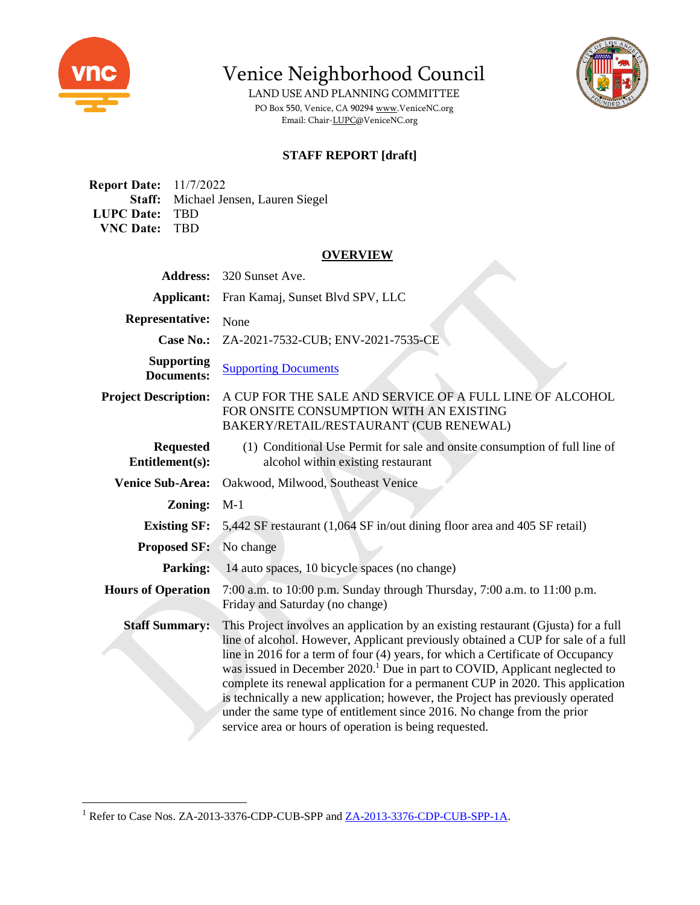

Venice Neighborhood Council

LAND USE AND PLANNING COMMITTEE PO Box 550, Venice, CA 9029[4 www.VeniceNC.org](http://www.venicenc.org/) Email: Chair[-LUPC@VeniceNC.org](mailto:LUPC@VeniceNC.org)

## **STAFF REPORT [draft]**

**Report Date:** 11/7/2022 **Staff:** Michael Jensen, Lauren Siegel **LUPC Date:** TBD **VNC Date:** TBD

#### **OVERVIEW**

| <b>Address:</b>                        | 320 Sunset Ave.                                                                                                                                                                                                                                                                                                                                                                                                                                                                                                                                                                                                                                              |
|----------------------------------------|--------------------------------------------------------------------------------------------------------------------------------------------------------------------------------------------------------------------------------------------------------------------------------------------------------------------------------------------------------------------------------------------------------------------------------------------------------------------------------------------------------------------------------------------------------------------------------------------------------------------------------------------------------------|
| <b>Applicant:</b>                      | Fran Kamaj, Sunset Blvd SPV, LLC                                                                                                                                                                                                                                                                                                                                                                                                                                                                                                                                                                                                                             |
| <b>Representative:</b>                 | None                                                                                                                                                                                                                                                                                                                                                                                                                                                                                                                                                                                                                                                         |
| <b>Case No.:</b>                       | ZA-2021-7532-CUB; ENV-2021-7535-CE                                                                                                                                                                                                                                                                                                                                                                                                                                                                                                                                                                                                                           |
| <b>Supporting</b><br><b>Documents:</b> | <b>Supporting Documents</b>                                                                                                                                                                                                                                                                                                                                                                                                                                                                                                                                                                                                                                  |
| <b>Project Description:</b>            | A CUP FOR THE SALE AND SERVICE OF A FULL LINE OF ALCOHOL<br>FOR ONSITE CONSUMPTION WITH AN EXISTING<br>BAKERY/RETAIL/RESTAURANT (CUB RENEWAL)                                                                                                                                                                                                                                                                                                                                                                                                                                                                                                                |
| <b>Requested</b><br>Entitlement(s):    | (1) Conditional Use Permit for sale and onsite consumption of full line of<br>alcohol within existing restaurant                                                                                                                                                                                                                                                                                                                                                                                                                                                                                                                                             |
| <b>Venice Sub-Area:</b>                | Oakwood, Milwood, Southeast Venice                                                                                                                                                                                                                                                                                                                                                                                                                                                                                                                                                                                                                           |
| Zoning:                                | $M-1$                                                                                                                                                                                                                                                                                                                                                                                                                                                                                                                                                                                                                                                        |
| <b>Existing SF:</b>                    | 5,442 SF restaurant (1,064 SF in/out dining floor area and 405 SF retail)                                                                                                                                                                                                                                                                                                                                                                                                                                                                                                                                                                                    |
| <b>Proposed SF:</b>                    | No change                                                                                                                                                                                                                                                                                                                                                                                                                                                                                                                                                                                                                                                    |
| <b>Parking:</b>                        | 14 auto spaces, 10 bicycle spaces (no change)                                                                                                                                                                                                                                                                                                                                                                                                                                                                                                                                                                                                                |
| <b>Hours of Operation</b>              | 7:00 a.m. to 10:00 p.m. Sunday through Thursday, 7:00 a.m. to 11:00 p.m.<br>Friday and Saturday (no change)                                                                                                                                                                                                                                                                                                                                                                                                                                                                                                                                                  |
| <b>Staff Summary:</b>                  | This Project involves an application by an existing restaurant (Gjusta) for a full<br>line of alcohol. However, Applicant previously obtained a CUP for sale of a full<br>line in 2016 for a term of four (4) years, for which a Certificate of Occupancy<br>was issued in December 2020. <sup>1</sup> Due in part to COVID, Applicant neglected to<br>complete its renewal application for a permanent CUP in 2020. This application<br>is technically a new application; however, the Project has previously operated<br>under the same type of entitlement since 2016. No change from the prior<br>service area or hours of operation is being requested. |

<sup>&</sup>lt;sup>1</sup> Refer to Case Nos. ZA-2013-3376-CDP-CUB-SPP and <u>ZA-2013-3376-CDP-CUB-SPP-1A</u>.